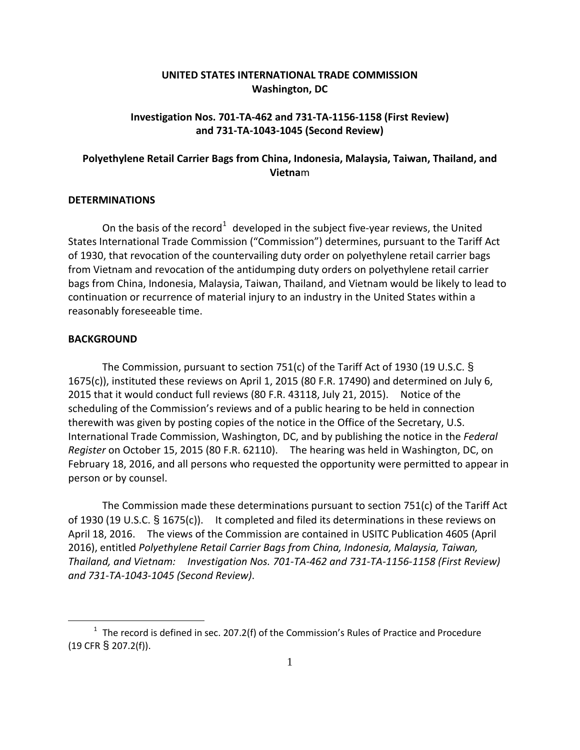## **UNITED STATES INTERNATIONAL TRADE COMMISSION Washington, DC**

## **Investigation Nos. 701-TA-462 and 731-TA-1156-1158 (First Review) and 731-TA-1043-1045 (Second Review)**

# **Polyethylene Retail Carrier Bags from China, Indonesia, Malaysia, Taiwan, Thailand, and Vietna**m

#### **DETERMINATIONS**

On the basis of the record<sup>[1](#page-0-0)</sup> developed in the subject five-year reviews, the United States International Trade Commission ("Commission") determines, pursuant to the Tariff Act of 1930, that revocation of the countervailing duty order on polyethylene retail carrier bags from Vietnam and revocation of the antidumping duty orders on polyethylene retail carrier bags from China, Indonesia, Malaysia, Taiwan, Thailand, and Vietnam would be likely to lead to continuation or recurrence of material injury to an industry in the United States within a reasonably foreseeable time.

### **BACKGROUND**

 $\overline{a}$ 

The Commission, pursuant to section 751(c) of the Tariff Act of 1930 (19 U.S.C. § 1675(c)), instituted these reviews on April 1, 2015 (80 F.R. 17490) and determined on July 6, 2015 that it would conduct full reviews (80 F.R. 43118, July 21, 2015). Notice of the scheduling of the Commission's reviews and of a public hearing to be held in connection therewith was given by posting copies of the notice in the Office of the Secretary, U.S. International Trade Commission, Washington, DC, and by publishing the notice in the *Federal Register* on October 15, 2015 (80 F.R. 62110). The hearing was held in Washington, DC, on February 18, 2016, and all persons who requested the opportunity were permitted to appear in person or by counsel.

The Commission made these determinations pursuant to section 751(c) of the Tariff Act of 1930 (19 U.S.C. § 1675(c)). It completed and filed its determinations in these reviews on April 18, 2016. The views of the Commission are contained in USITC Publication 4605 (April 2016), entitled *Polyethylene Retail Carrier Bags from China, Indonesia, Malaysia, Taiwan, Thailand, and Vietnam: Investigation Nos. 701-TA-462 and 731-TA-1156-1158 (First Review) and 731-TA-1043-1045 (Second Review)*.

<span id="page-0-0"></span> $1$  The record is defined in sec. 207.2(f) of the Commission's Rules of Practice and Procedure (19 CFR § 207.2(f)).